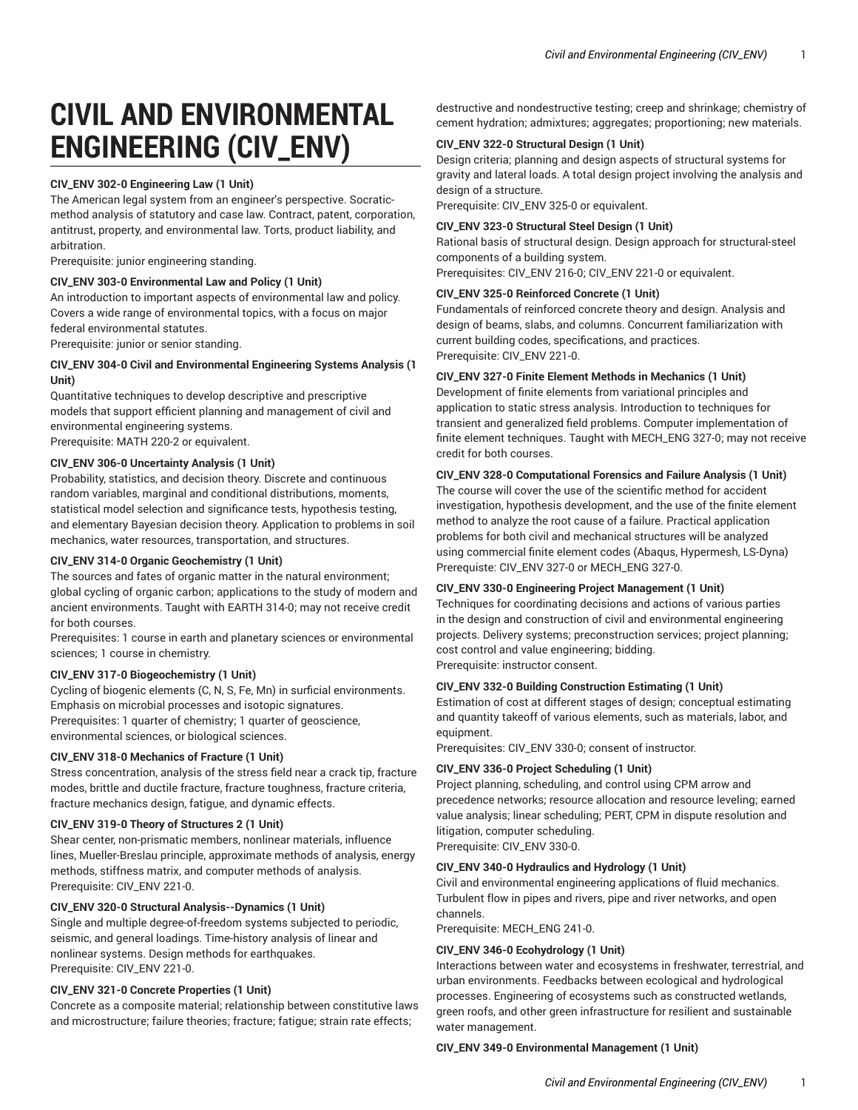# **CIVIL AND ENVIRONMENTAL ENGINEERING (CIV\_ENV)**

# **CIV\_ENV 302-0 Engineering Law (1 Unit)**

The American legal system from an engineer's perspective. Socraticmethod analysis of statutory and case law. Contract, patent, corporation, antitrust, property, and environmental law. Torts, product liability, and arbitration.

Prerequisite: junior engineering standing.

# **CIV\_ENV 303-0 Environmental Law and Policy (1 Unit)**

An introduction to important aspects of environmental law and policy. Covers a wide range of environmental topics, with a focus on major federal environmental statutes.

Prerequisite: junior or senior standing.

# **CIV\_ENV 304-0 Civil and Environmental Engineering Systems Analysis (1 Unit)**

Quantitative techniques to develop descriptive and prescriptive models that support efficient planning and management of civil and environmental engineering systems. Prerequisite: MATH 220-2 or equivalent.

# **CIV\_ENV 306-0 Uncertainty Analysis (1 Unit)**

Probability, statistics, and decision theory. Discrete and continuous random variables, marginal and conditional distributions, moments, statistical model selection and significance tests, hypothesis testing, and elementary Bayesian decision theory. Application to problems in soil mechanics, water resources, transportation, and structures.

# **CIV\_ENV 314-0 Organic Geochemistry (1 Unit)**

The sources and fates of organic matter in the natural environment; global cycling of organic carbon; applications to the study of modern and ancient environments. Taught with EARTH 314-0; may not receive credit for both courses.

Prerequisites: 1 course in earth and planetary sciences or environmental sciences; 1 course in chemistry.

# **CIV\_ENV 317-0 Biogeochemistry (1 Unit)**

Cycling of biogenic elements (C, N, S, Fe, Mn) in surficial environments. Emphasis on microbial processes and isotopic signatures.

Prerequisites: 1 quarter of chemistry; 1 quarter of geoscience, environmental sciences, or biological sciences.

# **CIV\_ENV 318-0 Mechanics of Fracture (1 Unit)**

Stress concentration, analysis of the stress field near a crack tip, fracture modes, brittle and ductile fracture, fracture toughness, fracture criteria, fracture mechanics design, fatigue, and dynamic effects.

# **CIV\_ENV 319-0 Theory of Structures 2 (1 Unit)**

Shear center, non-prismatic members, nonlinear materials, influence lines, Mueller-Breslau principle, approximate methods of analysis, energy methods, stiffness matrix, and computer methods of analysis. Prerequisite: CIV\_ENV 221-0.

# **CIV\_ENV 320-0 Structural Analysis--Dynamics (1 Unit)**

Single and multiple degree-of-freedom systems subjected to periodic, seismic, and general loadings. Time-history analysis of linear and nonlinear systems. Design methods for earthquakes. Prerequisite: CIV\_ENV 221-0.

# **CIV\_ENV 321-0 Concrete Properties (1 Unit)**

Concrete as a composite material; relationship between constitutive laws and microstructure; failure theories; fracture; fatigue; strain rate effects;

destructive and nondestructive testing; creep and shrinkage; chemistry of cement hydration; admixtures; aggregates; proportioning; new materials.

# **CIV\_ENV 322-0 Structural Design (1 Unit)**

Design criteria; planning and design aspects of structural systems for gravity and lateral loads. A total design project involving the analysis and design of a structure.

Prerequisite: CIV\_ENV 325-0 or equivalent.

# **CIV\_ENV 323-0 Structural Steel Design (1 Unit)**

Rational basis of structural design. Design approach for structural-steel components of a building system.

Prerequisites: CIV\_ENV 216-0; CIV\_ENV 221-0 or equivalent.

# **CIV\_ENV 325-0 Reinforced Concrete (1 Unit)**

Fundamentals of reinforced concrete theory and design. Analysis and design of beams, slabs, and columns. Concurrent familiarization with current building codes, specifications, and practices. Prerequisite: CIV\_ENV 221-0.

# **CIV\_ENV 327-0 Finite Element Methods in Mechanics (1 Unit)**

Development of finite elements from variational principles and application to static stress analysis. Introduction to techniques for transient and generalized field problems. Computer implementation of finite element techniques. Taught with MECH\_ENG 327-0; may not receive credit for both courses.

# **CIV\_ENV 328-0 Computational Forensics and Failure Analysis (1 Unit)**

The course will cover the use of the scientific method for accident investigation, hypothesis development, and the use of the finite element method to analyze the root cause of a failure. Practical application problems for both civil and mechanical structures will be analyzed using commercial finite element codes (Abaqus, Hypermesh, LS-Dyna) Prerequiste: CIV\_ENV 327-0 or MECH\_ENG 327-0.

## **CIV\_ENV 330-0 Engineering Project Management (1 Unit)**

Techniques for coordinating decisions and actions of various parties in the design and construction of civil and environmental engineering projects. Delivery systems; preconstruction services; project planning; cost control and value engineering; bidding. Prerequisite: instructor consent.

# **CIV\_ENV 332-0 Building Construction Estimating (1 Unit)**

Estimation of cost at different stages of design; conceptual estimating and quantity takeoff of various elements, such as materials, labor, and equipment.

Prerequisites: CIV\_ENV 330-0; consent of instructor.

# **CIV\_ENV 336-0 Project Scheduling (1 Unit)**

Project planning, scheduling, and control using CPM arrow and precedence networks; resource allocation and resource leveling; earned value analysis; linear scheduling; PERT, CPM in dispute resolution and litigation, computer scheduling. Prerequisite: CIV\_ENV 330-0.

# **CIV\_ENV 340-0 Hydraulics and Hydrology (1 Unit)**

Civil and environmental engineering applications of fluid mechanics. Turbulent flow in pipes and rivers, pipe and river networks, and open channels.

Prerequisite: MECH\_ENG 241-0.

## **CIV\_ENV 346-0 Ecohydrology (1 Unit)**

Interactions between water and ecosystems in freshwater, terrestrial, and urban environments. Feedbacks between ecological and hydrological processes. Engineering of ecosystems such as constructed wetlands, green roofs, and other green infrastructure for resilient and sustainable water management.

## **CIV\_ENV 349-0 Environmental Management (1 Unit)**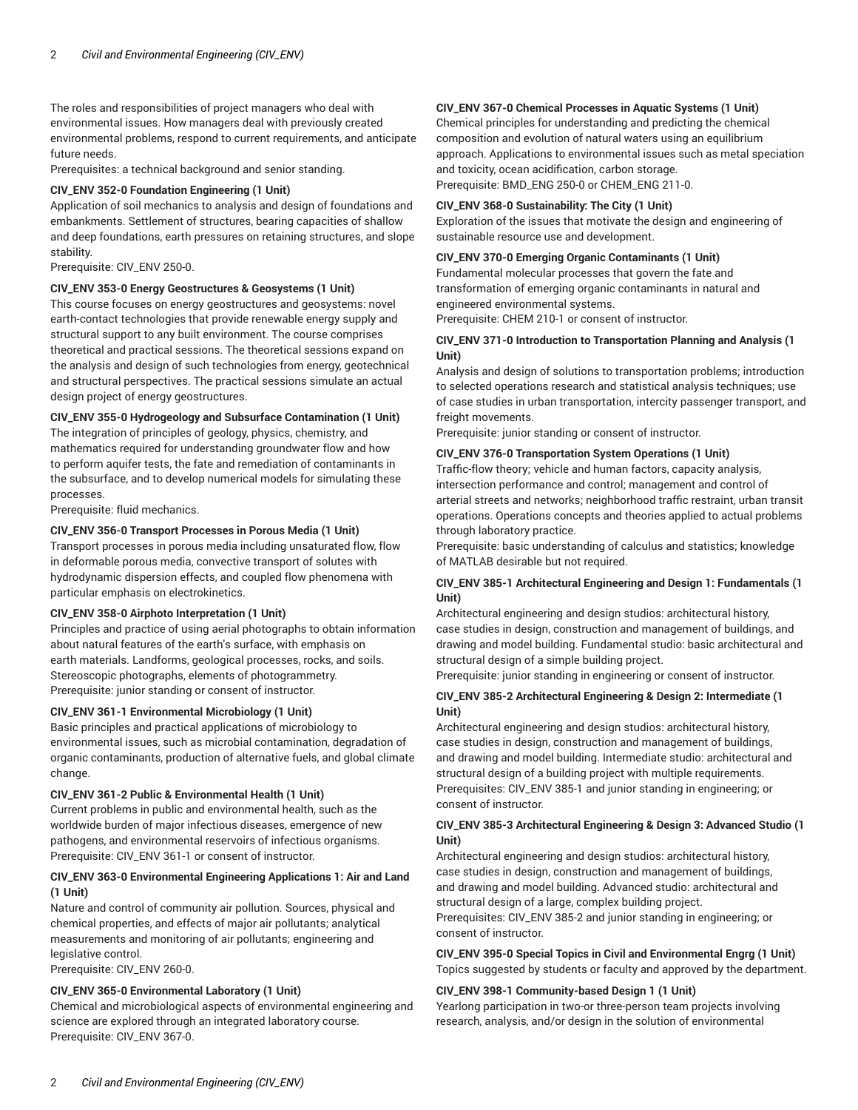The roles and responsibilities of project managers who deal with environmental issues. How managers deal with previously created environmental problems, respond to current requirements, and anticipate future needs.

Prerequisites: a technical background and senior standing.

# **CIV\_ENV 352-0 Foundation Engineering (1 Unit)**

Application of soil mechanics to analysis and design of foundations and embankments. Settlement of structures, bearing capacities of shallow and deep foundations, earth pressures on retaining structures, and slope stability.

Prerequisite: CIV\_ENV 250-0.

# **CIV\_ENV 353-0 Energy Geostructures & Geosystems (1 Unit)**

This course focuses on energy geostructures and geosystems: novel earth-contact technologies that provide renewable energy supply and structural support to any built environment. The course comprises theoretical and practical sessions. The theoretical sessions expand on the analysis and design of such technologies from energy, geotechnical and structural perspectives. The practical sessions simulate an actual design project of energy geostructures.

# **CIV\_ENV 355-0 Hydrogeology and Subsurface Contamination (1 Unit)**

The integration of principles of geology, physics, chemistry, and mathematics required for understanding groundwater flow and how to perform aquifer tests, the fate and remediation of contaminants in the subsurface, and to develop numerical models for simulating these processes.

Prerequisite: fluid mechanics.

# **CIV\_ENV 356-0 Transport Processes in Porous Media (1 Unit)**

Transport processes in porous media including unsaturated flow, flow in deformable porous media, convective transport of solutes with hydrodynamic dispersion effects, and coupled flow phenomena with particular emphasis on electrokinetics.

## **CIV\_ENV 358-0 Airphoto Interpretation (1 Unit)**

Principles and practice of using aerial photographs to obtain information about natural features of the earth's surface, with emphasis on earth materials. Landforms, geological processes, rocks, and soils. Stereoscopic photographs, elements of photogrammetry. Prerequisite: junior standing or consent of instructor.

## **CIV\_ENV 361-1 Environmental Microbiology (1 Unit)**

Basic principles and practical applications of microbiology to environmental issues, such as microbial contamination, degradation of organic contaminants, production of alternative fuels, and global climate change.

# **CIV\_ENV 361-2 Public & Environmental Health (1 Unit)**

Current problems in public and environmental health, such as the worldwide burden of major infectious diseases, emergence of new pathogens, and environmental reservoirs of infectious organisms. Prerequisite: CIV\_ENV 361-1 or consent of instructor.

# **CIV\_ENV 363-0 Environmental Engineering Applications 1: Air and Land (1 Unit)**

Nature and control of community air pollution. Sources, physical and chemical properties, and effects of major air pollutants; analytical measurements and monitoring of air pollutants; engineering and legislative control.

Prerequisite: CIV\_ENV 260-0.

# **CIV\_ENV 365-0 Environmental Laboratory (1 Unit)**

Chemical and microbiological aspects of environmental engineering and science are explored through an integrated laboratory course. Prerequisite: CIV\_ENV 367-0.

# **CIV\_ENV 367-0 Chemical Processes in Aquatic Systems (1 Unit)**

Chemical principles for understanding and predicting the chemical composition and evolution of natural waters using an equilibrium approach. Applications to environmental issues such as metal speciation and toxicity, ocean acidification, carbon storage. Prerequisite: BMD\_ENG 250-0 or CHEM\_ENG 211-0.

## **CIV\_ENV 368-0 Sustainability: The City (1 Unit)**

Exploration of the issues that motivate the design and engineering of sustainable resource use and development.

# **CIV\_ENV 370-0 Emerging Organic Contaminants (1 Unit)**

Fundamental molecular processes that govern the fate and transformation of emerging organic contaminants in natural and engineered environmental systems.

Prerequisite: CHEM 210-1 or consent of instructor.

# **CIV\_ENV 371-0 Introduction to Transportation Planning and Analysis (1 Unit)**

Analysis and design of solutions to transportation problems; introduction to selected operations research and statistical analysis techniques; use of case studies in urban transportation, intercity passenger transport, and freight movements.

Prerequisite: junior standing or consent of instructor.

# **CIV\_ENV 376-0 Transportation System Operations (1 Unit)**

Traffic-flow theory; vehicle and human factors, capacity analysis, intersection performance and control; management and control of arterial streets and networks; neighborhood traffic restraint, urban transit operations. Operations concepts and theories applied to actual problems through laboratory practice.

Prerequisite: basic understanding of calculus and statistics; knowledge of MATLAB desirable but not required.

# **CIV\_ENV 385-1 Architectural Engineering and Design 1: Fundamentals (1 Unit)**

Architectural engineering and design studios: architectural history, case studies in design, construction and management of buildings, and drawing and model building. Fundamental studio: basic architectural and structural design of a simple building project.

Prerequisite: junior standing in engineering or consent of instructor.

# **CIV\_ENV 385-2 Architectural Engineering & Design 2: Intermediate (1 Unit)**

Architectural engineering and design studios: architectural history, case studies in design, construction and management of buildings, and drawing and model building. Intermediate studio: architectural and structural design of a building project with multiple requirements. Prerequisites: CIV\_ENV 385-1 and junior standing in engineering; or consent of instructor.

# **CIV\_ENV 385-3 Architectural Engineering & Design 3: Advanced Studio (1 Unit)**

Architectural engineering and design studios: architectural history, case studies in design, construction and management of buildings, and drawing and model building. Advanced studio: architectural and structural design of a large, complex building project.

Prerequisites: CIV\_ENV 385-2 and junior standing in engineering; or consent of instructor.

# **CIV\_ENV 395-0 Special Topics in Civil and Environmental Engrg (1 Unit)** Topics suggested by students or faculty and approved by the department.

# **CIV\_ENV 398-1 Community-based Design 1 (1 Unit)**

Yearlong participation in two-or three-person team projects involving research, analysis, and/or design in the solution of environmental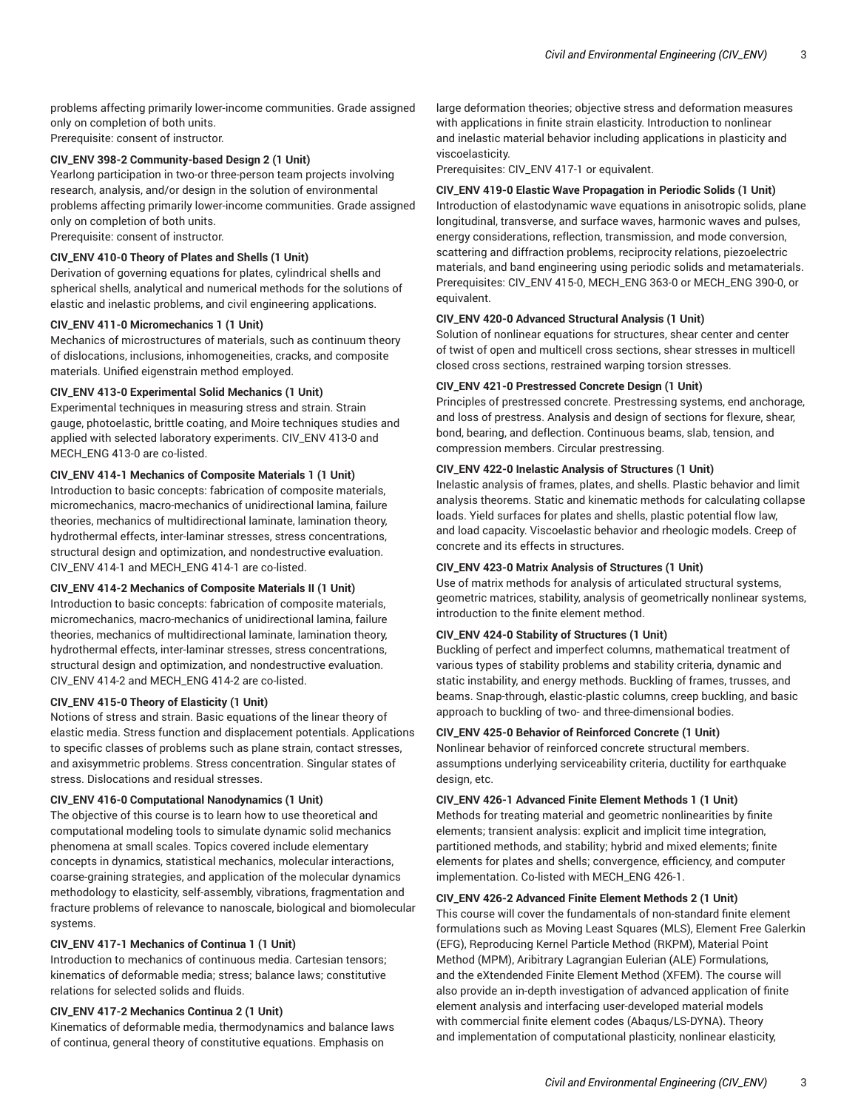problems affecting primarily lower-income communities. Grade assigned only on completion of both units. Prerequisite: consent of instructor.

# **CIV\_ENV 398-2 Community-based Design 2 (1 Unit)**

Yearlong participation in two-or three-person team projects involving research, analysis, and/or design in the solution of environmental problems affecting primarily lower-income communities. Grade assigned only on completion of both units.

Prerequisite: consent of instructor.

# **CIV\_ENV 410-0 Theory of Plates and Shells (1 Unit)**

Derivation of governing equations for plates, cylindrical shells and spherical shells, analytical and numerical methods for the solutions of elastic and inelastic problems, and civil engineering applications.

#### **CIV\_ENV 411-0 Micromechanics 1 (1 Unit)**

Mechanics of microstructures of materials, such as continuum theory of dislocations, inclusions, inhomogeneities, cracks, and composite materials. Unified eigenstrain method employed.

## **CIV\_ENV 413-0 Experimental Solid Mechanics (1 Unit)**

Experimental techniques in measuring stress and strain. Strain gauge, photoelastic, brittle coating, and Moire techniques studies and applied with selected laboratory experiments. CIV\_ENV 413-0 and MECH\_ENG 413-0 are co-listed.

#### **CIV\_ENV 414-1 Mechanics of Composite Materials 1 (1 Unit)**

Introduction to basic concepts: fabrication of composite materials, micromechanics, macro-mechanics of unidirectional lamina, failure theories, mechanics of multidirectional laminate, lamination theory, hydrothermal effects, inter-laminar stresses, stress concentrations, structural design and optimization, and nondestructive evaluation. CIV\_ENV 414-1 and MECH\_ENG 414-1 are co-listed.

#### **CIV\_ENV 414-2 Mechanics of Composite Materials II (1 Unit)**

Introduction to basic concepts: fabrication of composite materials, micromechanics, macro-mechanics of unidirectional lamina, failure theories, mechanics of multidirectional laminate, lamination theory, hydrothermal effects, inter-laminar stresses, stress concentrations, structural design and optimization, and nondestructive evaluation. CIV\_ENV 414-2 and MECH\_ENG 414-2 are co-listed.

#### **CIV\_ENV 415-0 Theory of Elasticity (1 Unit)**

Notions of stress and strain. Basic equations of the linear theory of elastic media. Stress function and displacement potentials. Applications to specific classes of problems such as plane strain, contact stresses, and axisymmetric problems. Stress concentration. Singular states of stress. Dislocations and residual stresses.

## **CIV\_ENV 416-0 Computational Nanodynamics (1 Unit)**

The objective of this course is to learn how to use theoretical and computational modeling tools to simulate dynamic solid mechanics phenomena at small scales. Topics covered include elementary concepts in dynamics, statistical mechanics, molecular interactions, coarse-graining strategies, and application of the molecular dynamics methodology to elasticity, self-assembly, vibrations, fragmentation and fracture problems of relevance to nanoscale, biological and biomolecular systems.

## **CIV\_ENV 417-1 Mechanics of Continua 1 (1 Unit)**

Introduction to mechanics of continuous media. Cartesian tensors; kinematics of deformable media; stress; balance laws; constitutive relations for selected solids and fluids.

# **CIV\_ENV 417-2 Mechanics Continua 2 (1 Unit)**

Kinematics of deformable media, thermodynamics and balance laws of continua, general theory of constitutive equations. Emphasis on

large deformation theories; objective stress and deformation measures with applications in finite strain elasticity. Introduction to nonlinear and inelastic material behavior including applications in plasticity and viscoelasticity.

Prerequisites: CIV\_ENV 417-1 or equivalent.

#### **CIV\_ENV 419-0 Elastic Wave Propagation in Periodic Solids (1 Unit)**

Introduction of elastodynamic wave equations in anisotropic solids, plane longitudinal, transverse, and surface waves, harmonic waves and pulses, energy considerations, reflection, transmission, and mode conversion, scattering and diffraction problems, reciprocity relations, piezoelectric materials, and band engineering using periodic solids and metamaterials. Prerequisites: CIV\_ENV 415-0, MECH\_ENG 363-0 or MECH\_ENG 390-0, or equivalent.

## **CIV\_ENV 420-0 Advanced Structural Analysis (1 Unit)**

Solution of nonlinear equations for structures, shear center and center of twist of open and multicell cross sections, shear stresses in multicell closed cross sections, restrained warping torsion stresses.

#### **CIV\_ENV 421-0 Prestressed Concrete Design (1 Unit)**

Principles of prestressed concrete. Prestressing systems, end anchorage, and loss of prestress. Analysis and design of sections for flexure, shear, bond, bearing, and deflection. Continuous beams, slab, tension, and compression members. Circular prestressing.

# **CIV\_ENV 422-0 Inelastic Analysis of Structures (1 Unit)**

Inelastic analysis of frames, plates, and shells. Plastic behavior and limit analysis theorems. Static and kinematic methods for calculating collapse loads. Yield surfaces for plates and shells, plastic potential flow law, and load capacity. Viscoelastic behavior and rheologic models. Creep of concrete and its effects in structures.

#### **CIV\_ENV 423-0 Matrix Analysis of Structures (1 Unit)**

Use of matrix methods for analysis of articulated structural systems, geometric matrices, stability, analysis of geometrically nonlinear systems, introduction to the finite element method.

# **CIV\_ENV 424-0 Stability of Structures (1 Unit)**

Buckling of perfect and imperfect columns, mathematical treatment of various types of stability problems and stability criteria, dynamic and static instability, and energy methods. Buckling of frames, trusses, and beams. Snap-through, elastic-plastic columns, creep buckling, and basic approach to buckling of two- and three-dimensional bodies.

# **CIV\_ENV 425-0 Behavior of Reinforced Concrete (1 Unit)**

Nonlinear behavior of reinforced concrete structural members. assumptions underlying serviceability criteria, ductility for earthquake design, etc.

## **CIV\_ENV 426-1 Advanced Finite Element Methods 1 (1 Unit)**

Methods for treating material and geometric nonlinearities by finite elements; transient analysis: explicit and implicit time integration, partitioned methods, and stability; hybrid and mixed elements; finite elements for plates and shells; convergence, efficiency, and computer implementation. Co-listed with MECH\_ENG 426-1.

#### **CIV\_ENV 426-2 Advanced Finite Element Methods 2 (1 Unit)**

This course will cover the fundamentals of non-standard finite element formulations such as Moving Least Squares (MLS), Element Free Galerkin (EFG), Reproducing Kernel Particle Method (RKPM), Material Point Method (MPM), Aribitrary Lagrangian Eulerian (ALE) Formulations, and the eXtendended Finite Element Method (XFEM). The course will also provide an in-depth investigation of advanced application of finite element analysis and interfacing user-developed material models with commercial finite element codes (Abaqus/LS-DYNA). Theory and implementation of computational plasticity, nonlinear elasticity,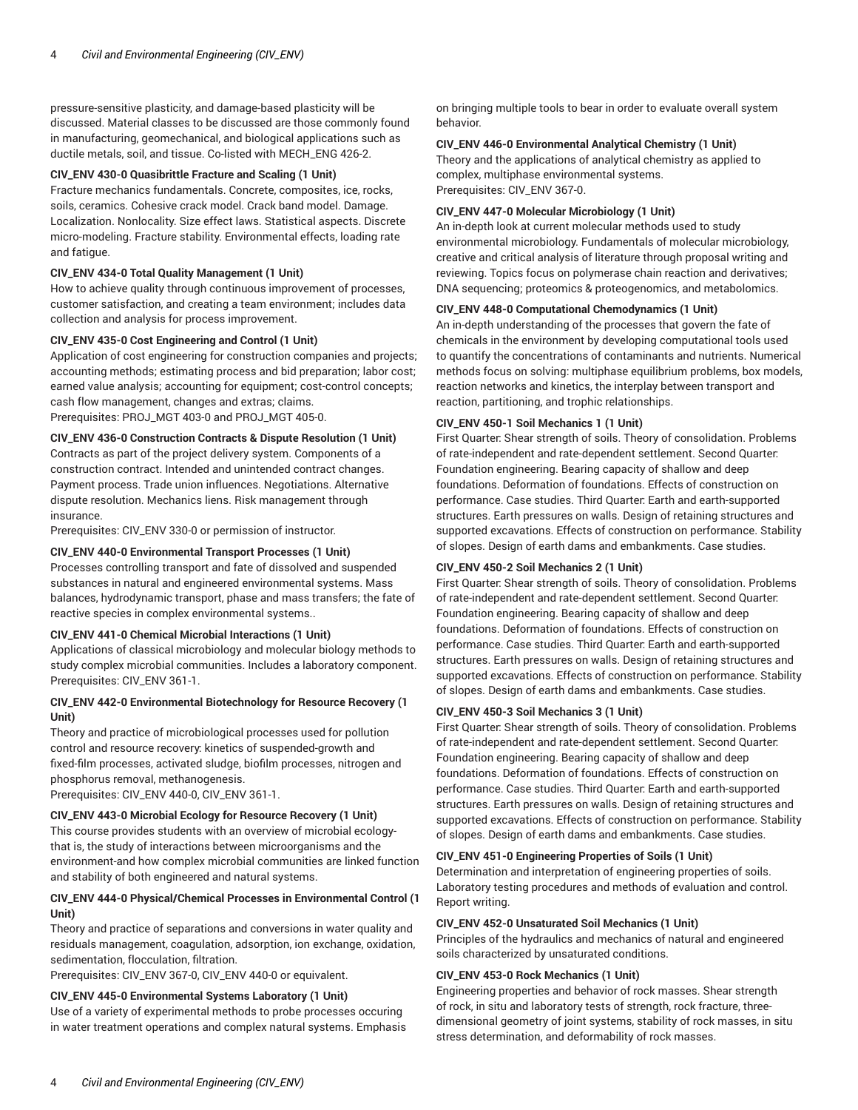pressure-sensitive plasticity, and damage-based plasticity will be discussed. Material classes to be discussed are those commonly found in manufacturing, geomechanical, and biological applications such as ductile metals, soil, and tissue. Co-listed with MECH\_ENG 426-2.

#### **CIV\_ENV 430-0 Quasibrittle Fracture and Scaling (1 Unit)**

Fracture mechanics fundamentals. Concrete, composites, ice, rocks, soils, ceramics. Cohesive crack model. Crack band model. Damage. Localization. Nonlocality. Size effect laws. Statistical aspects. Discrete micro-modeling. Fracture stability. Environmental effects, loading rate and fatigue.

#### **CIV\_ENV 434-0 Total Quality Management (1 Unit)**

How to achieve quality through continuous improvement of processes, customer satisfaction, and creating a team environment; includes data collection and analysis for process improvement.

# **CIV\_ENV 435-0 Cost Engineering and Control (1 Unit)**

Application of cost engineering for construction companies and projects; accounting methods; estimating process and bid preparation; labor cost; earned value analysis; accounting for equipment; cost-control concepts; cash flow management, changes and extras; claims. Prerequisites: PROJ\_MGT 403-0 and PROJ\_MGT 405-0.

#### **CIV\_ENV 436-0 Construction Contracts & Dispute Resolution (1 Unit)**

Contracts as part of the project delivery system. Components of a construction contract. Intended and unintended contract changes. Payment process. Trade union influences. Negotiations. Alternative dispute resolution. Mechanics liens. Risk management through insurance.

Prerequisites: CIV\_ENV 330-0 or permission of instructor.

#### **CIV\_ENV 440-0 Environmental Transport Processes (1 Unit)**

Processes controlling transport and fate of dissolved and suspended substances in natural and engineered environmental systems. Mass balances, hydrodynamic transport, phase and mass transfers; the fate of reactive species in complex environmental systems..

#### **CIV\_ENV 441-0 Chemical Microbial Interactions (1 Unit)**

Applications of classical microbiology and molecular biology methods to study complex microbial communities. Includes a laboratory component. Prerequisites: CIV\_ENV 361-1.

## **CIV\_ENV 442-0 Environmental Biotechnology for Resource Recovery (1 Unit)**

Theory and practice of microbiological processes used for pollution control and resource recovery: kinetics of suspended-growth and fixed-film processes, activated sludge, biofilm processes, nitrogen and phosphorus removal, methanogenesis.

Prerequisites: CIV\_ENV 440-0, CIV\_ENV 361-1.

# **CIV\_ENV 443-0 Microbial Ecology for Resource Recovery (1 Unit)** This course provides students with an overview of microbial ecologythat is, the study of interactions between microorganisms and the environment-and how complex microbial communities are linked function and stability of both engineered and natural systems.

## **CIV\_ENV 444-0 Physical/Chemical Processes in Environmental Control (1 Unit)**

Theory and practice of separations and conversions in water quality and residuals management, coagulation, adsorption, ion exchange, oxidation, sedimentation, flocculation, filtration.

Prerequisites: CIV\_ENV 367-0, CIV\_ENV 440-0 or equivalent.

# **CIV\_ENV 445-0 Environmental Systems Laboratory (1 Unit)**

Use of a variety of experimental methods to probe processes occuring in water treatment operations and complex natural systems. Emphasis on bringing multiple tools to bear in order to evaluate overall system behavior.

#### **CIV\_ENV 446-0 Environmental Analytical Chemistry (1 Unit)**

Theory and the applications of analytical chemistry as applied to complex, multiphase environmental systems. Prerequisites: CIV\_ENV 367-0.

## **CIV\_ENV 447-0 Molecular Microbiology (1 Unit)**

An in-depth look at current molecular methods used to study environmental microbiology. Fundamentals of molecular microbiology, creative and critical analysis of literature through proposal writing and reviewing. Topics focus on polymerase chain reaction and derivatives; DNA sequencing; proteomics & proteogenomics, and metabolomics.

#### **CIV\_ENV 448-0 Computational Chemodynamics (1 Unit)**

An in-depth understanding of the processes that govern the fate of chemicals in the environment by developing computational tools used to quantify the concentrations of contaminants and nutrients. Numerical methods focus on solving: multiphase equilibrium problems, box models, reaction networks and kinetics, the interplay between transport and reaction, partitioning, and trophic relationships.

# **CIV\_ENV 450-1 Soil Mechanics 1 (1 Unit)**

First Quarter: Shear strength of soils. Theory of consolidation. Problems of rate-independent and rate-dependent settlement. Second Quarter: Foundation engineering. Bearing capacity of shallow and deep foundations. Deformation of foundations. Effects of construction on performance. Case studies. Third Quarter: Earth and earth-supported structures. Earth pressures on walls. Design of retaining structures and supported excavations. Effects of construction on performance. Stability of slopes. Design of earth dams and embankments. Case studies.

## **CIV\_ENV 450-2 Soil Mechanics 2 (1 Unit)**

First Quarter: Shear strength of soils. Theory of consolidation. Problems of rate-independent and rate-dependent settlement. Second Quarter: Foundation engineering. Bearing capacity of shallow and deep foundations. Deformation of foundations. Effects of construction on performance. Case studies. Third Quarter: Earth and earth-supported structures. Earth pressures on walls. Design of retaining structures and supported excavations. Effects of construction on performance. Stability of slopes. Design of earth dams and embankments. Case studies.

#### **CIV\_ENV 450-3 Soil Mechanics 3 (1 Unit)**

First Quarter: Shear strength of soils. Theory of consolidation. Problems of rate-independent and rate-dependent settlement. Second Quarter: Foundation engineering. Bearing capacity of shallow and deep foundations. Deformation of foundations. Effects of construction on performance. Case studies. Third Quarter: Earth and earth-supported structures. Earth pressures on walls. Design of retaining structures and supported excavations. Effects of construction on performance. Stability of slopes. Design of earth dams and embankments. Case studies.

#### **CIV\_ENV 451-0 Engineering Properties of Soils (1 Unit)**

Determination and interpretation of engineering properties of soils. Laboratory testing procedures and methods of evaluation and control. Report writing.

# **CIV\_ENV 452-0 Unsaturated Soil Mechanics (1 Unit)**

Principles of the hydraulics and mechanics of natural and engineered soils characterized by unsaturated conditions.

#### **CIV\_ENV 453-0 Rock Mechanics (1 Unit)**

Engineering properties and behavior of rock masses. Shear strength of rock, in situ and laboratory tests of strength, rock fracture, threedimensional geometry of joint systems, stability of rock masses, in situ stress determination, and deformability of rock masses.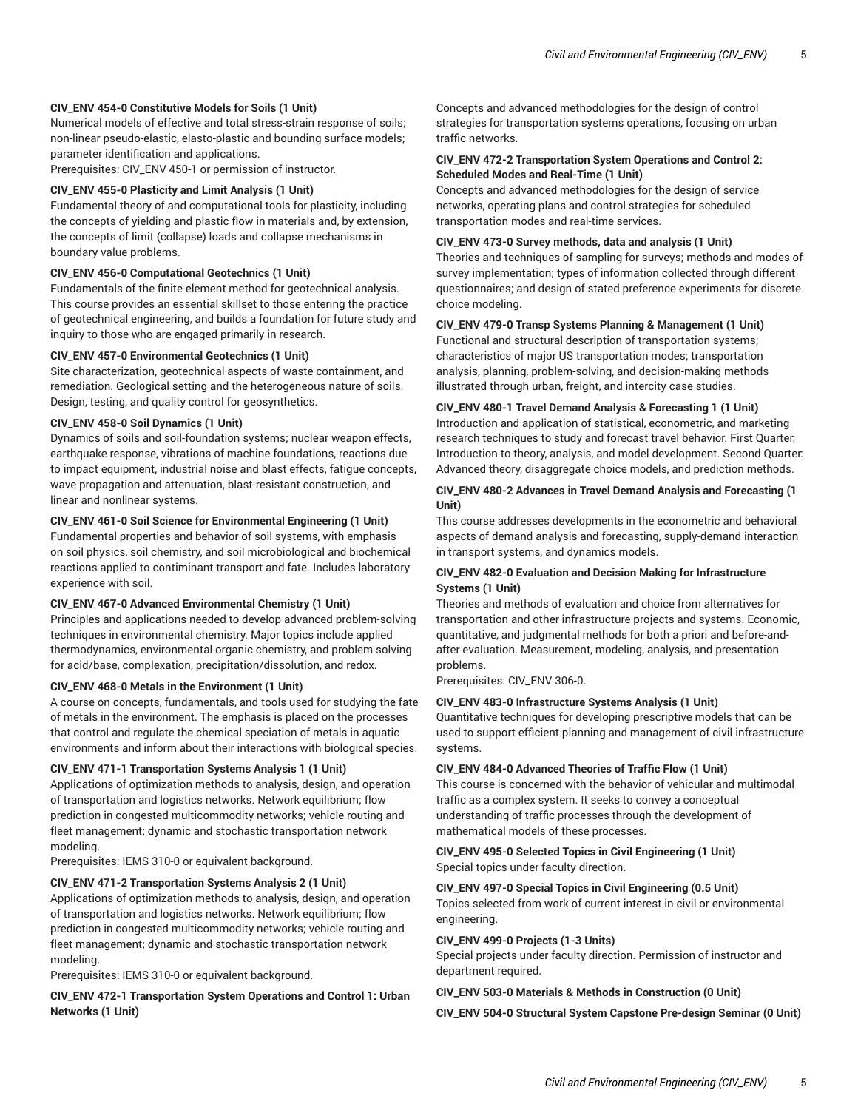# **CIV\_ENV 454-0 Constitutive Models for Soils (1 Unit)**

Numerical models of effective and total stress-strain response of soils; non-linear pseudo-elastic, elasto-plastic and bounding surface models; parameter identification and applications.

Prerequisites: CIV\_ENV 450-1 or permission of instructor.

## **CIV\_ENV 455-0 Plasticity and Limit Analysis (1 Unit)**

Fundamental theory of and computational tools for plasticity, including the concepts of yielding and plastic flow in materials and, by extension, the concepts of limit (collapse) loads and collapse mechanisms in boundary value problems.

#### **CIV\_ENV 456-0 Computational Geotechnics (1 Unit)**

Fundamentals of the finite element method for geotechnical analysis. This course provides an essential skillset to those entering the practice of geotechnical engineering, and builds a foundation for future study and inquiry to those who are engaged primarily in research.

# **CIV\_ENV 457-0 Environmental Geotechnics (1 Unit)**

Site characterization, geotechnical aspects of waste containment, and remediation. Geological setting and the heterogeneous nature of soils. Design, testing, and quality control for geosynthetics.

# **CIV\_ENV 458-0 Soil Dynamics (1 Unit)**

Dynamics of soils and soil-foundation systems; nuclear weapon effects, earthquake response, vibrations of machine foundations, reactions due to impact equipment, industrial noise and blast effects, fatigue concepts, wave propagation and attenuation, blast-resistant construction, and linear and nonlinear systems.

#### **CIV\_ENV 461-0 Soil Science for Environmental Engineering (1 Unit)**

Fundamental properties and behavior of soil systems, with emphasis on soil physics, soil chemistry, and soil microbiological and biochemical reactions applied to contiminant transport and fate. Includes laboratory experience with soil.

#### **CIV\_ENV 467-0 Advanced Environmental Chemistry (1 Unit)**

Principles and applications needed to develop advanced problem-solving techniques in environmental chemistry. Major topics include applied thermodynamics, environmental organic chemistry, and problem solving for acid/base, complexation, precipitation/dissolution, and redox.

#### **CIV\_ENV 468-0 Metals in the Environment (1 Unit)**

A course on concepts, fundamentals, and tools used for studying the fate of metals in the environment. The emphasis is placed on the processes that control and regulate the chemical speciation of metals in aquatic environments and inform about their interactions with biological species.

## **CIV\_ENV 471-1 Transportation Systems Analysis 1 (1 Unit)**

Applications of optimization methods to analysis, design, and operation of transportation and logistics networks. Network equilibrium; flow prediction in congested multicommodity networks; vehicle routing and fleet management; dynamic and stochastic transportation network modeling.

Prerequisites: IEMS 310-0 or equivalent background.

#### **CIV\_ENV 471-2 Transportation Systems Analysis 2 (1 Unit)**

Applications of optimization methods to analysis, design, and operation of transportation and logistics networks. Network equilibrium; flow prediction in congested multicommodity networks; vehicle routing and fleet management; dynamic and stochastic transportation network modeling.

Prerequisites: IEMS 310-0 or equivalent background.

**CIV\_ENV 472-1 Transportation System Operations and Control 1: Urban Networks (1 Unit)** 

Concepts and advanced methodologies for the design of control strategies for transportation systems operations, focusing on urban traffic networks.

# **CIV\_ENV 472-2 Transportation System Operations and Control 2: Scheduled Modes and Real-Time (1 Unit)**

Concepts and advanced methodologies for the design of service networks, operating plans and control strategies for scheduled transportation modes and real-time services.

# **CIV\_ENV 473-0 Survey methods, data and analysis (1 Unit)**

Theories and techniques of sampling for surveys; methods and modes of survey implementation; types of information collected through different questionnaires; and design of stated preference experiments for discrete choice modeling.

## **CIV\_ENV 479-0 Transp Systems Planning & Management (1 Unit)**

Functional and structural description of transportation systems; characteristics of major US transportation modes; transportation analysis, planning, problem-solving, and decision-making methods illustrated through urban, freight, and intercity case studies.

# **CIV\_ENV 480-1 Travel Demand Analysis & Forecasting 1 (1 Unit)**

Introduction and application of statistical, econometric, and marketing research techniques to study and forecast travel behavior. First Quarter: Introduction to theory, analysis, and model development. Second Quarter: Advanced theory, disaggregate choice models, and prediction methods.

## **CIV\_ENV 480-2 Advances in Travel Demand Analysis and Forecasting (1 Unit)**

This course addresses developments in the econometric and behavioral aspects of demand analysis and forecasting, supply-demand interaction in transport systems, and dynamics models.

## **CIV\_ENV 482-0 Evaluation and Decision Making for Infrastructure Systems (1 Unit)**

Theories and methods of evaluation and choice from alternatives for transportation and other infrastructure projects and systems. Economic, quantitative, and judgmental methods for both a priori and before-andafter evaluation. Measurement, modeling, analysis, and presentation problems.

Prerequisites: CIV\_ENV 306-0.

#### **CIV\_ENV 483-0 Infrastructure Systems Analysis (1 Unit)**

Quantitative techniques for developing prescriptive models that can be used to support efficient planning and management of civil infrastructure systems.

#### **CIV\_ENV 484-0 Advanced Theories of Traffic Flow (1 Unit)**

This course is concerned with the behavior of vehicular and multimodal traffic as a complex system. It seeks to convey a conceptual understanding of traffic processes through the development of mathematical models of these processes.

#### **CIV\_ENV 495-0 Selected Topics in Civil Engineering (1 Unit)** Special topics under faculty direction.

#### **CIV\_ENV 497-0 Special Topics in Civil Engineering (0.5 Unit)**

Topics selected from work of current interest in civil or environmental engineering.

# **CIV\_ENV 499-0 Projects (1-3 Units)**

Special projects under faculty direction. Permission of instructor and department required.

# **CIV\_ENV 503-0 Materials & Methods in Construction (0 Unit)**

**CIV\_ENV 504-0 Structural System Capstone Pre-design Seminar (0 Unit)**